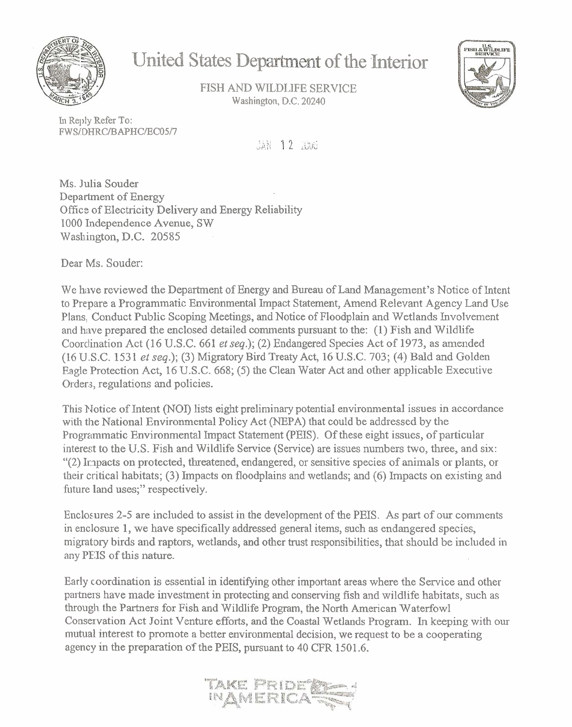

# **United States Department of the Interior**

FISH AND WILDLIFE SERVICE **Washington, D.C. 20240** 



**I17** Reply **Refer** To: FW **SLDHRCIBAPHCIECOSI7** 

JAN 12 2006

Ms. Julia Souder Department of Energy Officz of Electricity Delivery and Energy Reliability 1000 Independence Avenue, SW Washington, D.C. 20585

Dear Ms. Souder:

We have reviewed the Department of Energy and Bureau of Land Management's Notice of Intent to Prepare a Programmatic Environmental Impact Statement, Amend Relevant Agency Land Use Plans, Conduct Public Scoping Meetings, and Notice of Floodplain and Wetlands Involvement and have prepared the enclosed detailed comments pursuant to the:  $(1)$  Fish and Wildlife Coordination Act (16 U.S.C. 661 et seq.); (2) Endangered Species Act of 1973, as amended (16 U.S.C. 153 1 et seq.); **(3)** Migratory Bird Treaty Act, 16 U.S.C. 703; (4) Bald and Golden Eagle Protection Act, 16 U.S.C. 668; (5) the Clean Water Act and other applicable Executive Orders, regulations and policies.

This Notice of Intent **(NOI)** lists eight preliminary potential environmental issues in accordance with the National Environmental Policy Act (NEPA) that could be addressed by the Programmatic Environmental Impact Statement (PEIS). Of these eight issues, of particular interest to the U.S. Fish and Wildlife Service (Service) are issues numbers two, three, and six: "(2) Irnpacts on protected, threatened, endangered, or sensitive species of animals or plants, or their critical habitats; **(3)** Impacts on floodplains and wetlands; and (6) Impacts on existing and future land uses;" respectively.

Enclosures 2-5 are included to assist in the development of the PEIS. As part of our comments in enclosure 1, we have specifically addressed general items, such as endangered species, migratory birds and raptors, wetlands, and other trust responsibilities, that should be included in any PE:IS of this nature.

Early coordination is essential in identifying other important areas where the Service and other partnexs have made investment in protecting and conserving fish and wildlife habitats, such as through the Partners for Fish and Wildlife Program, the North American Waterfowl Conservation Act Joint Venture efforts, and the Coastal Wetlands Program. In keeping with our mutual interest to promote a better environmental decision, we request to be a cooperating agency in the preparation of the PEIS, pursuant to 40 CFR 1501.6.

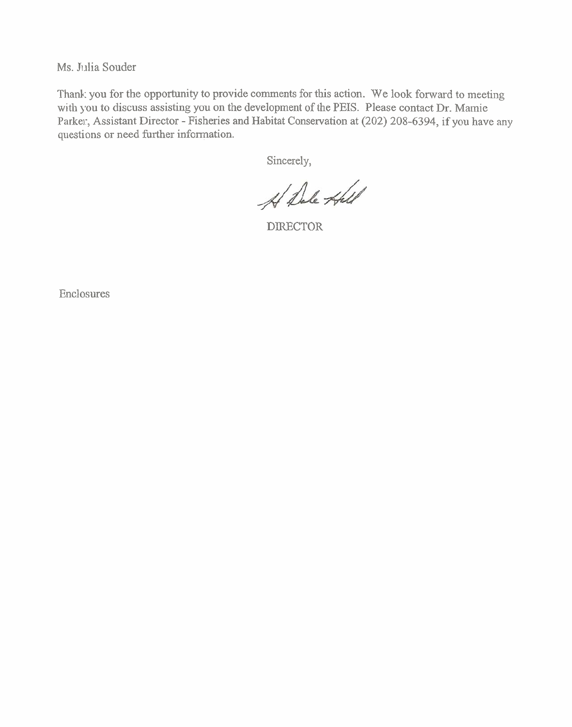Ms. Julia Souder

Thank you for the opportunity to provide comments for this action. We look forward to meeting with you to discuss assisting you on the development of the PEIS. Please contact Dr. Mamie Parker, Assistant Director - Fisheries and Habitat Conservation at (202) 208-6394, if you have any questions or need further information.

Sincerely,

A Dale Hall

DIRECTOR

Enclosures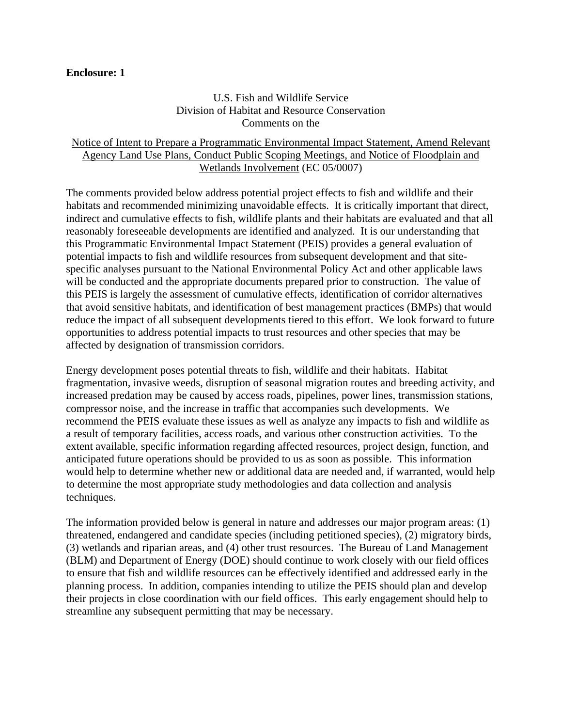#### **Enclosure: 1**

## U.S. Fish and Wildlife Service Division of Habitat and Resource Conservation Comments on the

# Notice of Intent to Prepare a Programmatic Environmental Impact Statement, Amend Relevant Agency Land Use Plans, Conduct Public Scoping Meetings, and Notice of Floodplain and Wetlands Involvement (EC 05/0007)

The comments provided below address potential project effects to fish and wildlife and their habitats and recommended minimizing unavoidable effects. It is critically important that direct, indirect and cumulative effects to fish, wildlife plants and their habitats are evaluated and that all reasonably foreseeable developments are identified and analyzed. It is our understanding that this Programmatic Environmental Impact Statement (PEIS) provides a general evaluation of potential impacts to fish and wildlife resources from subsequent development and that sitespecific analyses pursuant to the National Environmental Policy Act and other applicable laws will be conducted and the appropriate documents prepared prior to construction. The value of this PEIS is largely the assessment of cumulative effects, identification of corridor alternatives that avoid sensitive habitats, and identification of best management practices (BMPs) that would reduce the impact of all subsequent developments tiered to this effort. We look forward to future opportunities to address potential impacts to trust resources and other species that may be affected by designation of transmission corridors.

Energy development poses potential threats to fish, wildlife and their habitats. Habitat fragmentation, invasive weeds, disruption of seasonal migration routes and breeding activity, and increased predation may be caused by access roads, pipelines, power lines, transmission stations, compressor noise, and the increase in traffic that accompanies such developments. We recommend the PEIS evaluate these issues as well as analyze any impacts to fish and wildlife as a result of temporary facilities, access roads, and various other construction activities. To the extent available, specific information regarding affected resources, project design, function, and anticipated future operations should be provided to us as soon as possible. This information would help to determine whether new or additional data are needed and, if warranted, would help to determine the most appropriate study methodologies and data collection and analysis techniques.

The information provided below is general in nature and addresses our major program areas: (1) threatened, endangered and candidate species (including petitioned species), (2) migratory birds, (3) wetlands and riparian areas, and (4) other trust resources. The Bureau of Land Management (BLM) and Department of Energy (DOE) should continue to work closely with our field offices to ensure that fish and wildlife resources can be effectively identified and addressed early in the planning process. In addition, companies intending to utilize the PEIS should plan and develop their projects in close coordination with our field offices. This early engagement should help to streamline any subsequent permitting that may be necessary.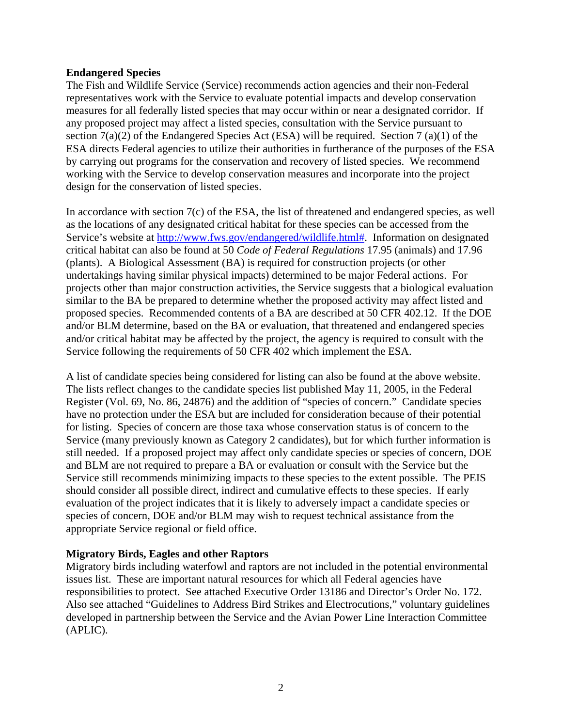## **Endangered Species**

The Fish and Wildlife Service (Service) recommends action agencies and their non-Federal representatives work with the Service to evaluate potential impacts and develop conservation measures for all federally listed species that may occur within or near a designated corridor. If any proposed project may affect a listed species, consultation with the Service pursuant to section 7(a)(2) of the Endangered Species Act (ESA) will be required. Section 7 (a)(1) of the ESA directs Federal agencies to utilize their authorities in furtherance of the purposes of the ESA by carrying out programs for the conservation and recovery of listed species. We recommend working with the Service to develop conservation measures and incorporate into the project design for the conservation of listed species.

In accordance with section 7(c) of the ESA, the list of threatened and endangered species, as well as the locations of any designated critical habitat for these species can be accessed from the Service's website at http://www.fws.gov/endangered/wildlife.html#. Information on designated critical habitat can also be found at 50 *Code of Federal Regulations* 17.95 (animals) and 17.96 (plants). A Biological Assessment (BA) is required for construction projects (or other undertakings having similar physical impacts) determined to be major Federal actions. For projects other than major construction activities, the Service suggests that a biological evaluation similar to the BA be prepared to determine whether the proposed activity may affect listed and proposed species. Recommended contents of a BA are described at 50 CFR 402.12. If the DOE and/or BLM determine, based on the BA or evaluation, that threatened and endangered species and/or critical habitat may be affected by the project, the agency is required to consult with the Service following the requirements of 50 CFR 402 which implement the ESA.

A list of candidate species being considered for listing can also be found at the above website. The lists reflect changes to the candidate species list published May 11, 2005, in the Federal Register (Vol. 69, No. 86, 24876) and the addition of "species of concern." Candidate species have no protection under the ESA but are included for consideration because of their potential for listing. Species of concern are those taxa whose conservation status is of concern to the Service (many previously known as Category 2 candidates), but for which further information is still needed. If a proposed project may affect only candidate species or species of concern, DOE and BLM are not required to prepare a BA or evaluation or consult with the Service but the Service still recommends minimizing impacts to these species to the extent possible. The PEIS should consider all possible direct, indirect and cumulative effects to these species. If early evaluation of the project indicates that it is likely to adversely impact a candidate species or species of concern, DOE and/or BLM may wish to request technical assistance from the appropriate Service regional or field office.

# **Migratory Birds, Eagles and other Raptors**

Migratory birds including waterfowl and raptors are not included in the potential environmental issues list. These are important natural resources for which all Federal agencies have responsibilities to protect. See attached Executive Order 13186 and Director's Order No. 172. Also see attached "Guidelines to Address Bird Strikes and Electrocutions," voluntary guidelines developed in partnership between the Service and the Avian Power Line Interaction Committee (APLIC).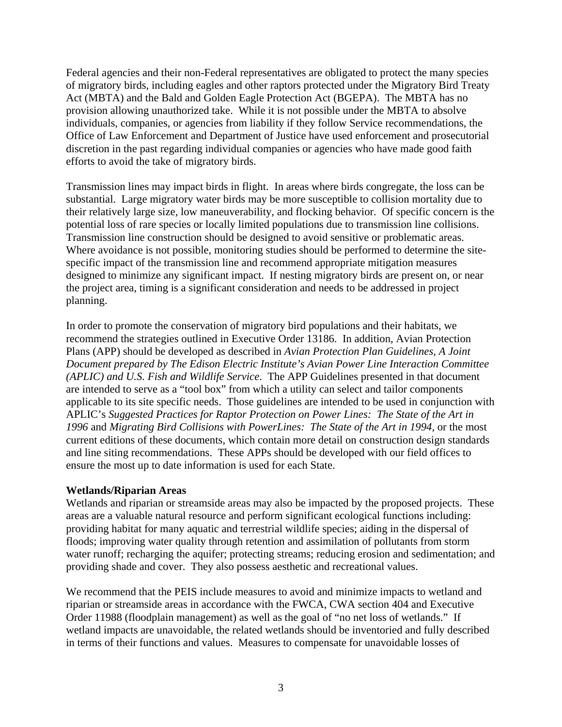Federal agencies and their non-Federal representatives are obligated to protect the many species of migratory birds, including eagles and other raptors protected under the Migratory Bird Treaty Act (MBTA) and the Bald and Golden Eagle Protection Act (BGEPA). The MBTA has no provision allowing unauthorized take. While it is not possible under the MBTA to absolve individuals, companies, or agencies from liability if they follow Service recommendations, the Office of Law Enforcement and Department of Justice have used enforcement and prosecutorial discretion in the past regarding individual companies or agencies who have made good faith efforts to avoid the take of migratory birds.

Transmission lines may impact birds in flight. In areas where birds congregate, the loss can be substantial. Large migratory water birds may be more susceptible to collision mortality due to their relatively large size, low maneuverability, and flocking behavior. Of specific concern is the potential loss of rare species or locally limited populations due to transmission line collisions. Transmission line construction should be designed to avoid sensitive or problematic areas. Where avoidance is not possible, monitoring studies should be performed to determine the sitespecific impact of the transmission line and recommend appropriate mitigation measures designed to minimize any significant impact. If nesting migratory birds are present on, or near the project area, timing is a significant consideration and needs to be addressed in project planning.

In order to promote the conservation of migratory bird populations and their habitats, we recommend the strategies outlined in Executive Order 13186. In addition, Avian Protection Plans (APP) should be developed as described in *Avian Protection Plan Guidelines, A Joint Document prepared by The Edison Electric Institute's Avian Power Line Interaction Committee (APLIC) and U.S. Fish and Wildlife Service*. The APP Guidelines presented in that document are intended to serve as a "tool box" from which a utility can select and tailor components applicable to its site specific needs. Those guidelines are intended to be used in conjunction with APLIC's *Suggested Practices for Raptor Protection on Power Lines: The State of the Art in 1996* and *Migrating Bird Collisions with PowerLines: The State of the Art in 1994,* or the most current editions of these documents, which contain more detail on construction design standards and line siting recommendations. These APPs should be developed with our field offices to ensure the most up to date information is used for each State.

### **Wetlands/Riparian Areas**

Wetlands and riparian or streamside areas may also be impacted by the proposed projects. These areas are a valuable natural resource and perform significant ecological functions including: providing habitat for many aquatic and terrestrial wildlife species; aiding in the dispersal of floods; improving water quality through retention and assimilation of pollutants from storm water runoff; recharging the aquifer; protecting streams; reducing erosion and sedimentation; and providing shade and cover. They also possess aesthetic and recreational values.

We recommend that the PEIS include measures to avoid and minimize impacts to wetland and riparian or streamside areas in accordance with the FWCA, CWA section 404 and Executive Order 11988 (floodplain management) as well as the goal of "no net loss of wetlands." If wetland impacts are unavoidable, the related wetlands should be inventoried and fully described in terms of their functions and values. Measures to compensate for unavoidable losses of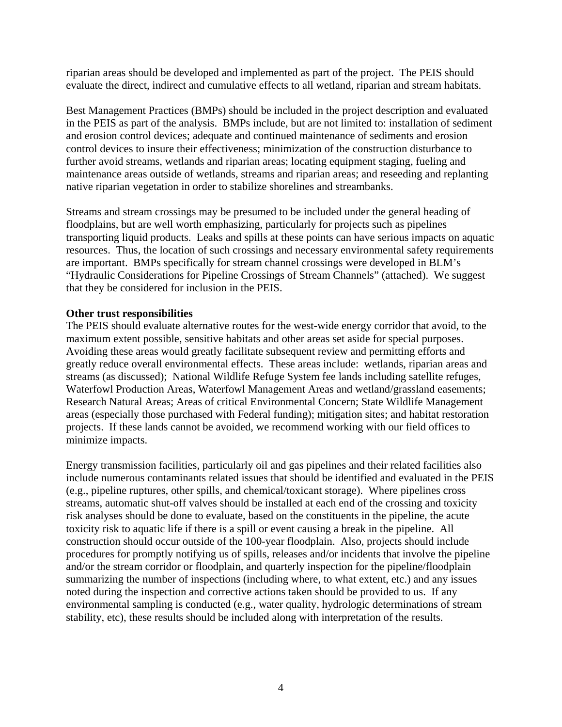riparian areas should be developed and implemented as part of the project. The PEIS should evaluate the direct, indirect and cumulative effects to all wetland, riparian and stream habitats.

Best Management Practices (BMPs) should be included in the project description and evaluated in the PEIS as part of the analysis. BMPs include, but are not limited to: installation of sediment and erosion control devices; adequate and continued maintenance of sediments and erosion control devices to insure their effectiveness; minimization of the construction disturbance to further avoid streams, wetlands and riparian areas; locating equipment staging, fueling and maintenance areas outside of wetlands, streams and riparian areas; and reseeding and replanting native riparian vegetation in order to stabilize shorelines and streambanks.

Streams and stream crossings may be presumed to be included under the general heading of floodplains, but are well worth emphasizing, particularly for projects such as pipelines transporting liquid products. Leaks and spills at these points can have serious impacts on aquatic resources. Thus, the location of such crossings and necessary environmental safety requirements are important. BMPs specifically for stream channel crossings were developed in BLM's "Hydraulic Considerations for Pipeline Crossings of Stream Channels" (attached). We suggest that they be considered for inclusion in the PEIS.

### **Other trust responsibilities**

The PEIS should evaluate alternative routes for the west-wide energy corridor that avoid, to the maximum extent possible, sensitive habitats and other areas set aside for special purposes. Avoiding these areas would greatly facilitate subsequent review and permitting efforts and greatly reduce overall environmental effects. These areas include: wetlands, riparian areas and streams (as discussed); National Wildlife Refuge System fee lands including satellite refuges, Waterfowl Production Areas, Waterfowl Management Areas and wetland/grassland easements; Research Natural Areas; Areas of critical Environmental Concern; State Wildlife Management areas (especially those purchased with Federal funding); mitigation sites; and habitat restoration projects. If these lands cannot be avoided, we recommend working with our field offices to minimize impacts.

Energy transmission facilities, particularly oil and gas pipelines and their related facilities also include numerous contaminants related issues that should be identified and evaluated in the PEIS (e.g., pipeline ruptures, other spills, and chemical/toxicant storage). Where pipelines cross streams, automatic shut-off valves should be installed at each end of the crossing and toxicity risk analyses should be done to evaluate, based on the constituents in the pipeline, the acute toxicity risk to aquatic life if there is a spill or event causing a break in the pipeline. All construction should occur outside of the 100-year floodplain. Also, projects should include procedures for promptly notifying us of spills, releases and/or incidents that involve the pipeline and/or the stream corridor or floodplain, and quarterly inspection for the pipeline/floodplain summarizing the number of inspections (including where, to what extent, etc.) and any issues noted during the inspection and corrective actions taken should be provided to us. If any environmental sampling is conducted (e.g., water quality, hydrologic determinations of stream stability, etc), these results should be included along with interpretation of the results.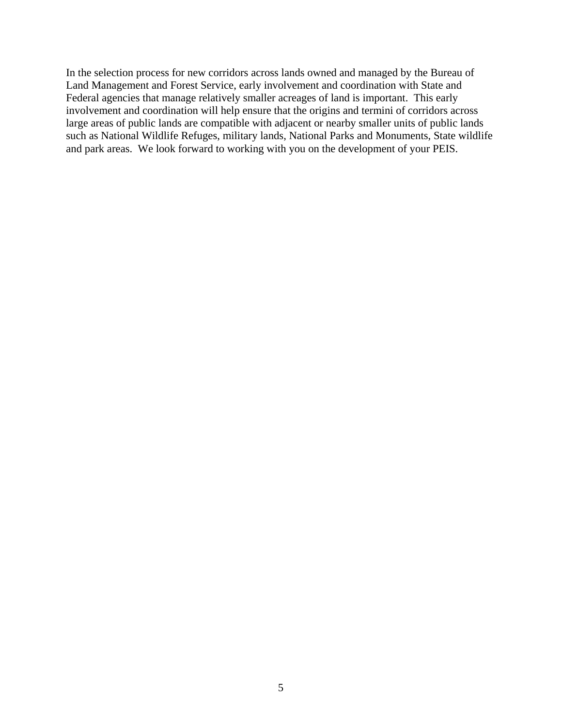In the selection process for new corridors across lands owned and managed by the Bureau of Land Management and Forest Service, early involvement and coordination with State and Federal agencies that manage relatively smaller acreages of land is important. This early involvement and coordination will help ensure that the origins and termini of corridors across large areas of public lands are compatible with adjacent or nearby smaller units of public lands such as National Wildlife Refuges, military lands, National Parks and Monuments, State wildlife and park areas. We look forward to working with you on the development of your PEIS.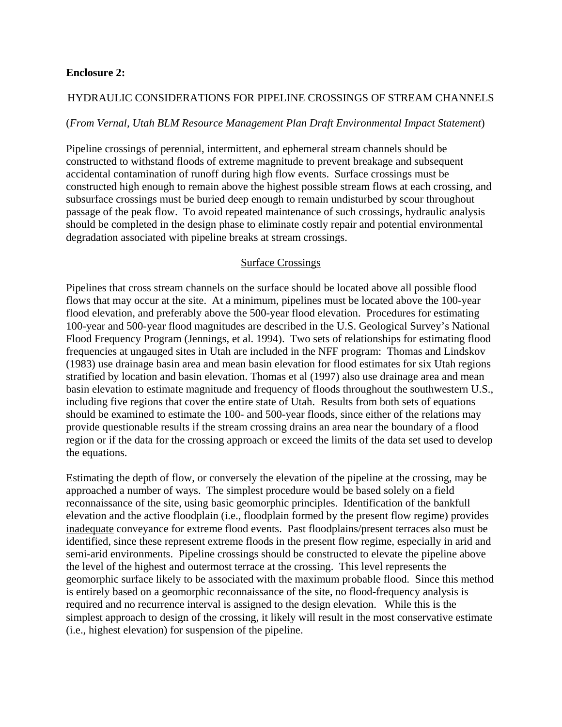#### **Enclosure 2:**

## HYDRAULIC CONSIDERATIONS FOR PIPELINE CROSSINGS OF STREAM CHANNELS

#### (*From Vernal, Utah BLM Resource Management Plan Draft Environmental Impact Statement*)

Pipeline crossings of perennial, intermittent, and ephemeral stream channels should be constructed to withstand floods of extreme magnitude to prevent breakage and subsequent accidental contamination of runoff during high flow events. Surface crossings must be constructed high enough to remain above the highest possible stream flows at each crossing, and subsurface crossings must be buried deep enough to remain undisturbed by scour throughout passage of the peak flow. To avoid repeated maintenance of such crossings, hydraulic analysis should be completed in the design phase to eliminate costly repair and potential environmental degradation associated with pipeline breaks at stream crossings.

### Surface Crossings

Pipelines that cross stream channels on the surface should be located above all possible flood flows that may occur at the site. At a minimum, pipelines must be located above the 100-year flood elevation, and preferably above the 500-year flood elevation. Procedures for estimating 100-year and 500-year flood magnitudes are described in the U.S. Geological Survey's National Flood Frequency Program (Jennings, et al. 1994). Two sets of relationships for estimating flood frequencies at ungauged sites in Utah are included in the NFF program: Thomas and Lindskov (1983) use drainage basin area and mean basin elevation for flood estimates for six Utah regions stratified by location and basin elevation. Thomas et al (1997) also use drainage area and mean basin elevation to estimate magnitude and frequency of floods throughout the southwestern U.S., including five regions that cover the entire state of Utah. Results from both sets of equations should be examined to estimate the 100- and 500-year floods, since either of the relations may provide questionable results if the stream crossing drains an area near the boundary of a flood region or if the data for the crossing approach or exceed the limits of the data set used to develop the equations.

Estimating the depth of flow, or conversely the elevation of the pipeline at the crossing, may be approached a number of ways. The simplest procedure would be based solely on a field reconnaissance of the site, using basic geomorphic principles. Identification of the bankfull elevation and the active floodplain (i.e., floodplain formed by the present flow regime) provides inadequate conveyance for extreme flood events. Past floodplains/present terraces also must be identified, since these represent extreme floods in the present flow regime, especially in arid and semi-arid environments. Pipeline crossings should be constructed to elevate the pipeline above the level of the highest and outermost terrace at the crossing. This level represents the geomorphic surface likely to be associated with the maximum probable flood. Since this method is entirely based on a geomorphic reconnaissance of the site, no flood-frequency analysis is required and no recurrence interval is assigned to the design elevation. While this is the simplest approach to design of the crossing, it likely will result in the most conservative estimate (i.e., highest elevation) for suspension of the pipeline.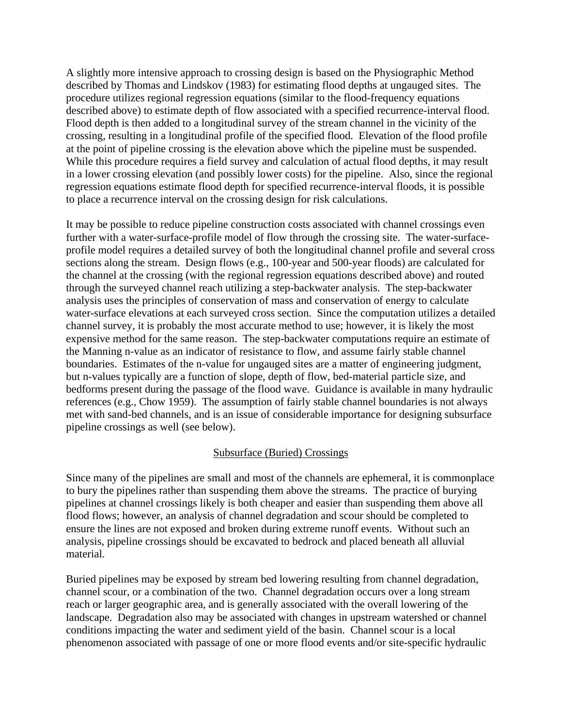A slightly more intensive approach to crossing design is based on the Physiographic Method described by Thomas and Lindskov (1983) for estimating flood depths at ungauged sites. The procedure utilizes regional regression equations (similar to the flood-frequency equations described above) to estimate depth of flow associated with a specified recurrence-interval flood. Flood depth is then added to a longitudinal survey of the stream channel in the vicinity of the crossing, resulting in a longitudinal profile of the specified flood. Elevation of the flood profile at the point of pipeline crossing is the elevation above which the pipeline must be suspended. While this procedure requires a field survey and calculation of actual flood depths, it may result in a lower crossing elevation (and possibly lower costs) for the pipeline. Also, since the regional regression equations estimate flood depth for specified recurrence-interval floods, it is possible to place a recurrence interval on the crossing design for risk calculations.

It may be possible to reduce pipeline construction costs associated with channel crossings even further with a water-surface-profile model of flow through the crossing site. The water-surfaceprofile model requires a detailed survey of both the longitudinal channel profile and several cross sections along the stream. Design flows (e.g., 100-year and 500-year floods) are calculated for the channel at the crossing (with the regional regression equations described above) and routed through the surveyed channel reach utilizing a step-backwater analysis. The step-backwater analysis uses the principles of conservation of mass and conservation of energy to calculate water-surface elevations at each surveyed cross section. Since the computation utilizes a detailed channel survey, it is probably the most accurate method to use; however, it is likely the most expensive method for the same reason. The step-backwater computations require an estimate of the Manning n-value as an indicator of resistance to flow, and assume fairly stable channel boundaries. Estimates of the n-value for ungauged sites are a matter of engineering judgment, but n-values typically are a function of slope, depth of flow, bed-material particle size, and bedforms present during the passage of the flood wave. Guidance is available in many hydraulic references (e.g., Chow 1959). The assumption of fairly stable channel boundaries is not always met with sand-bed channels, and is an issue of considerable importance for designing subsurface pipeline crossings as well (see below).

### Subsurface (Buried) Crossings

Since many of the pipelines are small and most of the channels are ephemeral, it is commonplace to bury the pipelines rather than suspending them above the streams. The practice of burying pipelines at channel crossings likely is both cheaper and easier than suspending them above all flood flows; however, an analysis of channel degradation and scour should be completed to ensure the lines are not exposed and broken during extreme runoff events. Without such an analysis, pipeline crossings should be excavated to bedrock and placed beneath all alluvial material.

Buried pipelines may be exposed by stream bed lowering resulting from channel degradation, channel scour, or a combination of the two. Channel degradation occurs over a long stream reach or larger geographic area, and is generally associated with the overall lowering of the landscape. Degradation also may be associated with changes in upstream watershed or channel conditions impacting the water and sediment yield of the basin. Channel scour is a local phenomenon associated with passage of one or more flood events and/or site-specific hydraulic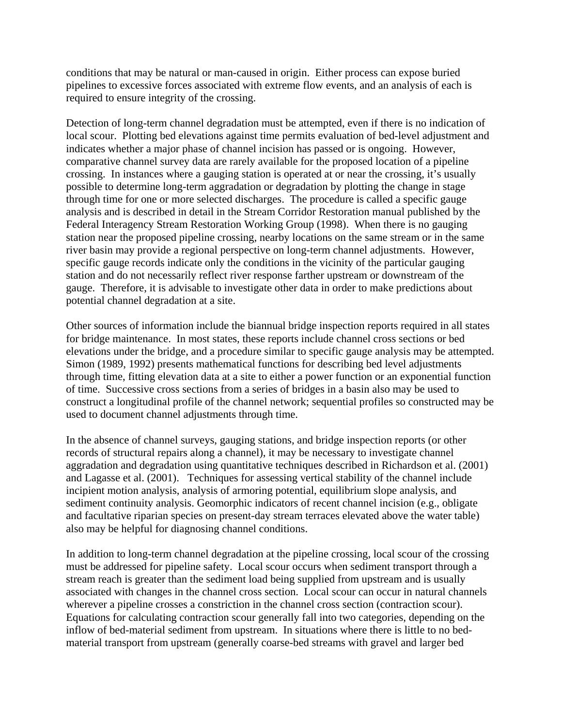conditions that may be natural or man-caused in origin. Either process can expose buried pipelines to excessive forces associated with extreme flow events, and an analysis of each is required to ensure integrity of the crossing.

Detection of long-term channel degradation must be attempted, even if there is no indication of local scour. Plotting bed elevations against time permits evaluation of bed-level adjustment and indicates whether a major phase of channel incision has passed or is ongoing. However, comparative channel survey data are rarely available for the proposed location of a pipeline crossing. In instances where a gauging station is operated at or near the crossing, it's usually possible to determine long-term aggradation or degradation by plotting the change in stage through time for one or more selected discharges. The procedure is called a specific gauge analysis and is described in detail in the Stream Corridor Restoration manual published by the Federal Interagency Stream Restoration Working Group (1998). When there is no gauging station near the proposed pipeline crossing, nearby locations on the same stream or in the same river basin may provide a regional perspective on long-term channel adjustments. However, specific gauge records indicate only the conditions in the vicinity of the particular gauging station and do not necessarily reflect river response farther upstream or downstream of the gauge. Therefore, it is advisable to investigate other data in order to make predictions about potential channel degradation at a site.

Other sources of information include the biannual bridge inspection reports required in all states for bridge maintenance. In most states, these reports include channel cross sections or bed elevations under the bridge, and a procedure similar to specific gauge analysis may be attempted. Simon (1989, 1992) presents mathematical functions for describing bed level adjustments through time, fitting elevation data at a site to either a power function or an exponential function of time. Successive cross sections from a series of bridges in a basin also may be used to construct a longitudinal profile of the channel network; sequential profiles so constructed may be used to document channel adjustments through time.

In the absence of channel surveys, gauging stations, and bridge inspection reports (or other records of structural repairs along a channel), it may be necessary to investigate channel aggradation and degradation using quantitative techniques described in Richardson et al. (2001) and Lagasse et al. (2001). Techniques for assessing vertical stability of the channel include incipient motion analysis, analysis of armoring potential, equilibrium slope analysis, and sediment continuity analysis. Geomorphic indicators of recent channel incision (e.g., obligate and facultative riparian species on present-day stream terraces elevated above the water table) also may be helpful for diagnosing channel conditions.

In addition to long-term channel degradation at the pipeline crossing, local scour of the crossing must be addressed for pipeline safety. Local scour occurs when sediment transport through a stream reach is greater than the sediment load being supplied from upstream and is usually associated with changes in the channel cross section. Local scour can occur in natural channels wherever a pipeline crosses a constriction in the channel cross section (contraction scour). Equations for calculating contraction scour generally fall into two categories, depending on the inflow of bed-material sediment from upstream. In situations where there is little to no bedmaterial transport from upstream (generally coarse-bed streams with gravel and larger bed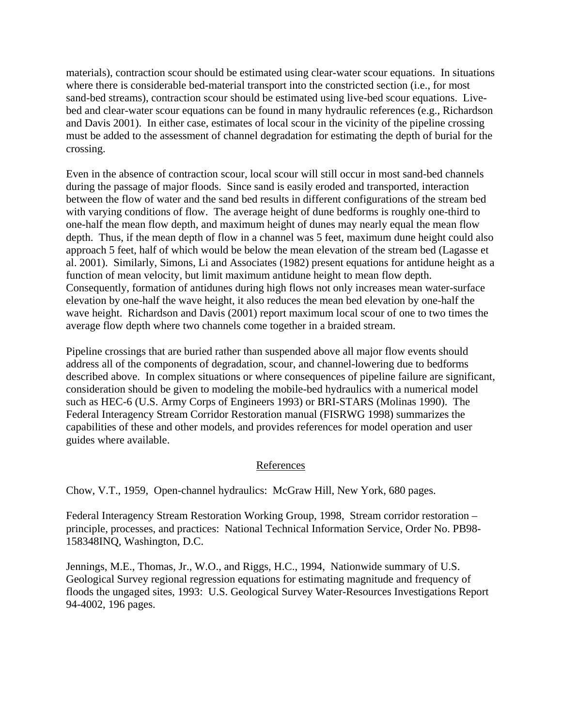materials), contraction scour should be estimated using clear-water scour equations. In situations where there is considerable bed-material transport into the constricted section (i.e., for most sand-bed streams), contraction scour should be estimated using live-bed scour equations. Livebed and clear-water scour equations can be found in many hydraulic references (e.g., Richardson and Davis 2001). In either case, estimates of local scour in the vicinity of the pipeline crossing must be added to the assessment of channel degradation for estimating the depth of burial for the crossing.

Even in the absence of contraction scour, local scour will still occur in most sand-bed channels during the passage of major floods. Since sand is easily eroded and transported, interaction between the flow of water and the sand bed results in different configurations of the stream bed with varying conditions of flow. The average height of dune bedforms is roughly one-third to one-half the mean flow depth, and maximum height of dunes may nearly equal the mean flow depth. Thus, if the mean depth of flow in a channel was 5 feet, maximum dune height could also approach 5 feet, half of which would be below the mean elevation of the stream bed (Lagasse et al. 2001). Similarly, Simons, Li and Associates (1982) present equations for antidune height as a function of mean velocity, but limit maximum antidune height to mean flow depth. Consequently, formation of antidunes during high flows not only increases mean water-surface elevation by one-half the wave height, it also reduces the mean bed elevation by one-half the wave height. Richardson and Davis (2001) report maximum local scour of one to two times the average flow depth where two channels come together in a braided stream.

Pipeline crossings that are buried rather than suspended above all major flow events should address all of the components of degradation, scour, and channel-lowering due to bedforms described above. In complex situations or where consequences of pipeline failure are significant, consideration should be given to modeling the mobile-bed hydraulics with a numerical model such as HEC-6 (U.S. Army Corps of Engineers 1993) or BRI-STARS (Molinas 1990). The Federal Interagency Stream Corridor Restoration manual (FISRWG 1998) summarizes the capabilities of these and other models, and provides references for model operation and user guides where available.

### References

Chow, V.T., 1959, Open-channel hydraulics: McGraw Hill, New York, 680 pages.

Federal Interagency Stream Restoration Working Group, 1998, Stream corridor restoration – principle, processes, and practices: National Technical Information Service, Order No. PB98- 158348INQ, Washington, D.C.

Jennings, M.E., Thomas, Jr., W.O., and Riggs, H.C., 1994, Nationwide summary of U.S. Geological Survey regional regression equations for estimating magnitude and frequency of floods the ungaged sites, 1993: U.S. Geological Survey Water-Resources Investigations Report 94-4002, 196 pages.